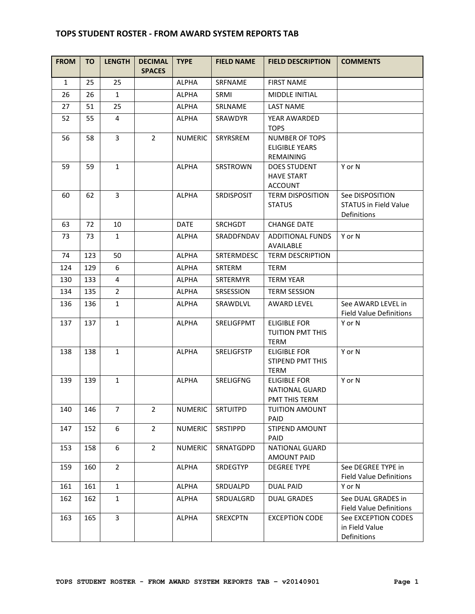## **TOPS STUDENT ROSTER - FROM AWARD SYSTEM REPORTS TAB**

| <b>FROM</b>  | TO  | <b>LENGTH</b>  | <b>DECIMAL</b><br><b>SPACES</b> | <b>TYPE</b>    | <b>FIELD NAME</b> | <b>FIELD DESCRIPTION</b>                                      | <b>COMMENTS</b>                                                |
|--------------|-----|----------------|---------------------------------|----------------|-------------------|---------------------------------------------------------------|----------------------------------------------------------------|
| $\mathbf{1}$ | 25  | 25             |                                 | <b>ALPHA</b>   | <b>SRFNAME</b>    | <b>FIRST NAME</b>                                             |                                                                |
| 26           | 26  | $\mathbf{1}$   |                                 | <b>ALPHA</b>   | SRMI              | MIDDLE INITIAL                                                |                                                                |
| 27           | 51  | 25             |                                 | <b>ALPHA</b>   | SRLNAME           | <b>LAST NAME</b>                                              |                                                                |
| 52           | 55  | 4              |                                 | <b>ALPHA</b>   | SRAWDYR           | YEAR AWARDED<br><b>TOPS</b>                                   |                                                                |
| 56           | 58  | 3              | $\overline{2}$                  | <b>NUMERIC</b> | SRYRSREM          | NUMBER OF TOPS<br><b>ELIGIBLE YEARS</b><br>REMAINING          |                                                                |
| 59           | 59  | $\mathbf{1}$   |                                 | <b>ALPHA</b>   | <b>SRSTROWN</b>   | <b>DOES STUDENT</b><br><b>HAVE START</b><br><b>ACCOUNT</b>    | Y or N                                                         |
| 60           | 62  | 3              |                                 | <b>ALPHA</b>   | <b>SRDISPOSIT</b> | <b>TERM DISPOSITION</b><br><b>STATUS</b>                      | See DISPOSITION<br><b>STATUS in Field Value</b><br>Definitions |
| 63           | 72  | 10             |                                 | <b>DATE</b>    | <b>SRCHGDT</b>    | <b>CHANGE DATE</b>                                            |                                                                |
| 73           | 73  | $\mathbf{1}$   |                                 | <b>ALPHA</b>   | SRADDFNDAV        | ADDITIONAL FUNDS<br>AVAILABLE                                 | Y or N                                                         |
| 74           | 123 | 50             |                                 | <b>ALPHA</b>   | SRTERMDESC        | <b>TERM DESCRIPTION</b>                                       |                                                                |
| 124          | 129 | 6              |                                 | ALPHA          | SRTERM            | <b>TERM</b>                                                   |                                                                |
| 130          | 133 | 4              |                                 | <b>ALPHA</b>   | <b>SRTERMYR</b>   | <b>TERM YEAR</b>                                              |                                                                |
| 134          | 135 | $\overline{2}$ |                                 | <b>ALPHA</b>   | SRSESSION         | <b>TERM SESSION</b>                                           |                                                                |
| 136          | 136 | $\mathbf{1}$   |                                 | <b>ALPHA</b>   | SRAWDLVL          | <b>AWARD LEVEL</b>                                            | See AWARD LEVEL in<br><b>Field Value Definitions</b>           |
| 137          | 137 | $\mathbf{1}$   |                                 | <b>ALPHA</b>   | SRELIGFPMT        | <b>ELIGIBLE FOR</b><br><b>TUITION PMT THIS</b><br><b>TERM</b> | Y or N                                                         |
| 138          | 138 | $\mathbf{1}$   |                                 | <b>ALPHA</b>   | <b>SRELIGFSTP</b> | <b>ELIGIBLE FOR</b><br>STIPEND PMT THIS<br><b>TERM</b>        | Y or N                                                         |
| 139          | 139 | $\mathbf{1}$   |                                 | <b>ALPHA</b>   | <b>SRELIGFNG</b>  | ELIGIBLE FOR<br><b>NATIONAL GUARD</b><br>PMT THIS TERM        | Y or N                                                         |
| 140          | 146 | $\overline{7}$ | $\overline{2}$                  | <b>NUMERIC</b> | SRTUITPD          | <b>TUITION AMOUNT</b><br>PAID                                 |                                                                |
| 147          | 152 | 6              | $\overline{2}$                  | <b>NUMERIC</b> | SRSTIPPD          | STIPEND AMOUNT<br>PAID                                        |                                                                |
| 153          | 158 | 6              | $\overline{2}$                  | <b>NUMERIC</b> | SRNATGDPD         | NATIONAL GUARD<br><b>AMOUNT PAID</b>                          |                                                                |
| 159          | 160 | $\overline{2}$ |                                 | <b>ALPHA</b>   | SRDEGTYP          | <b>DEGREE TYPE</b>                                            | See DEGREE TYPE in<br><b>Field Value Definitions</b>           |
| 161          | 161 | $\mathbf{1}$   |                                 | <b>ALPHA</b>   | SRDUALPD          | <b>DUAL PAID</b>                                              | Y or N                                                         |
| 162          | 162 | $\mathbf{1}$   |                                 | <b>ALPHA</b>   | SRDUALGRD         | <b>DUAL GRADES</b>                                            | See DUAL GRADES in<br><b>Field Value Definitions</b>           |
| 163          | 165 | $\overline{3}$ |                                 | <b>ALPHA</b>   | <b>SREXCPTN</b>   | <b>EXCEPTION CODE</b>                                         | See EXCEPTION CODES<br>in Field Value<br>Definitions           |